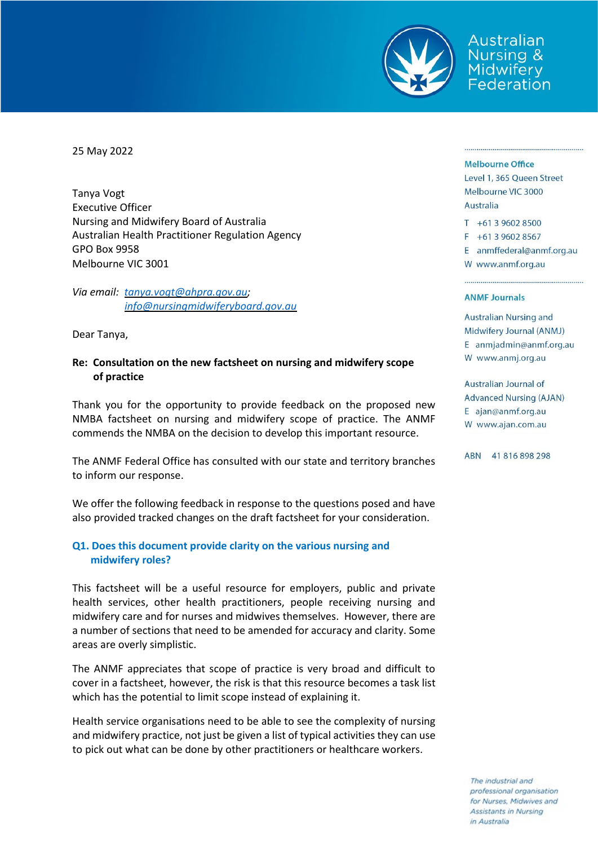

Australian Nursina & Midwifery Federation

25 May 2022

Tanya Vogt Executive Officer Nursing and Midwifery Board of Australia Australian Health Practitioner Regulation Agency GPO Box 9958 Melbourne VIC 3001

*Via email: [tanya.vogt@ahpra.gov.au;](mailto:tanya.vogt@ahpra.gov.au) [info@nursingmidwiferyboard.gov.au](mailto:info@nursingmidwiferyboard.gov.au)*

Dear Tanya,

#### **Re: Consultation on the new factsheet on nursing and midwifery scope of practice**

Thank you for the opportunity to provide feedback on the proposed new NMBA factsheet on nursing and midwifery scope of practice. The ANMF commends the NMBA on the decision to develop this important resource.

The ANMF Federal Office has consulted with our state and territory branches to inform our response.

We offer the following feedback in response to the questions posed and have also provided tracked changes on the draft factsheet for your consideration.

## **Q1. Does this document provide clarity on the various nursing and midwifery roles?**

This factsheet will be a useful resource for employers, public and private health services, other health practitioners, people receiving nursing and midwifery care and for nurses and midwives themselves. However, there are a number of sections that need to be amended for accuracy and clarity. Some areas are overly simplistic.

The ANMF appreciates that scope of practice is very broad and difficult to cover in a factsheet, however, the risk is that this resource becomes a task list which has the potential to limit scope instead of explaining it.

Health service organisations need to be able to see the complexity of nursing and midwifery practice, not just be given a list of typical activities they can use to pick out what can be done by other practitioners or healthcare workers.

#### **Melbourne Office**

Level 1, 365 Queen Street Melbourne VIC 3000 Australia

T +61 3 9602 8500

F +61 3 9602 8567

E anmffederal@anmf.org.au W www.anmf.org.au

#### **ANME Journals**

**Australian Nursing and** Midwifery Journal (ANMJ) E anmjadmin@anmf.org.au W www.anmj.org.au

Australian Journal of **Advanced Nursing (AJAN)** E ajan@anmf.org.au W www.ajan.com.au

ABN 41816898298

The industrial and professional organisation for Nurses, Midwives and Assistants in Nursing in Australia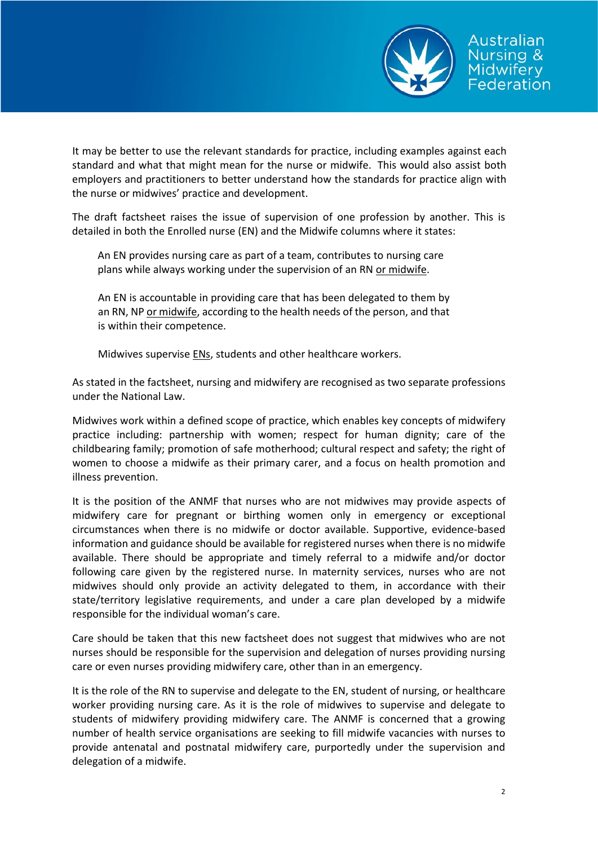

It may be better to use the relevant standards for practice, including examples against each standard and what that might mean for the nurse or midwife. This would also assist both employers and practitioners to better understand how the standards for practice align with the nurse or midwives' practice and development.

The draft factsheet raises the issue of supervision of one profession by another. This is detailed in both the Enrolled nurse (EN) and the Midwife columns where it states:

An EN provides nursing care as part of a team, contributes to nursing care plans while always working under the supervision of an RN or midwife.

An EN is accountable in providing care that has been delegated to them by an RN, NP or midwife, according to the health needs of the person, and that is within their competence.

Midwives supervise ENs, students and other healthcare workers.

As stated in the factsheet, nursing and midwifery are recognised as two separate professions under the National Law.

Midwives work within a defined scope of practice, which enables key concepts of midwifery practice including: partnership with women; respect for human dignity; care of the childbearing family; promotion of safe motherhood; cultural respect and safety; the right of women to choose a midwife as their primary carer, and a focus on health promotion and illness prevention.

It is the position of the ANMF that nurses who are not midwives may provide aspects of midwifery care for pregnant or birthing women only in emergency or exceptional circumstances when there is no midwife or doctor available. Supportive, evidence-based information and guidance should be available for registered nurses when there is no midwife available. There should be appropriate and timely referral to a midwife and/or doctor following care given by the registered nurse. In maternity services, nurses who are not midwives should only provide an activity delegated to them, in accordance with their state/territory legislative requirements, and under a care plan developed by a midwife responsible for the individual woman's care.

Care should be taken that this new factsheet does not suggest that midwives who are not nurses should be responsible for the supervision and delegation of nurses providing nursing care or even nurses providing midwifery care, other than in an emergency.

It is the role of the RN to supervise and delegate to the EN, student of nursing, or healthcare worker providing nursing care. As it is the role of midwives to supervise and delegate to students of midwifery providing midwifery care. The ANMF is concerned that a growing number of health service organisations are seeking to fill midwife vacancies with nurses to provide antenatal and postnatal midwifery care, purportedly under the supervision and delegation of a midwife.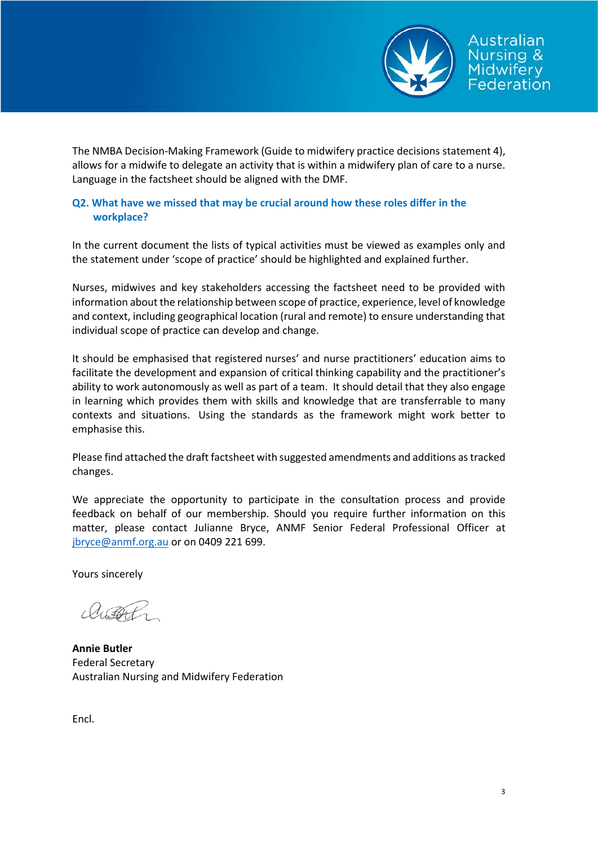

The NMBA Decision-Making Framework (Guide to midwifery practice decisions statement 4), allows for a midwife to delegate an activity that is within a midwifery plan of care to a nurse. Language in the factsheet should be aligned with the DMF.

## **Q2. What have we missed that may be crucial around how these roles differ in the workplace?**

In the current document the lists of typical activities must be viewed as examples only and the statement under 'scope of practice' should be highlighted and explained further.

Nurses, midwives and key stakeholders accessing the factsheet need to be provided with information about the relationship between scope of practice, experience, level of knowledge and context, including geographical location (rural and remote) to ensure understanding that individual scope of practice can develop and change.

It should be emphasised that registered nurses' and nurse practitioners' education aims to facilitate the development and expansion of critical thinking capability and the practitioner's ability to work autonomously as well as part of a team. It should detail that they also engage in learning which provides them with skills and knowledge that are transferrable to many contexts and situations. Using the standards as the framework might work better to emphasise this.

Please find attached the draft factsheet with suggested amendments and additions as tracked changes.

We appreciate the opportunity to participate in the consultation process and provide feedback on behalf of our membership. Should you require further information on this matter, please contact Julianne Bryce, ANMF Senior Federal Professional Officer at [jbryce@anmf.org.au](mailto:jbryce@anmf.org.au) or on 0409 221 699.

Yours sincerely

achot

**Annie Butler** Federal Secretary Australian Nursing and Midwifery Federation

Encl.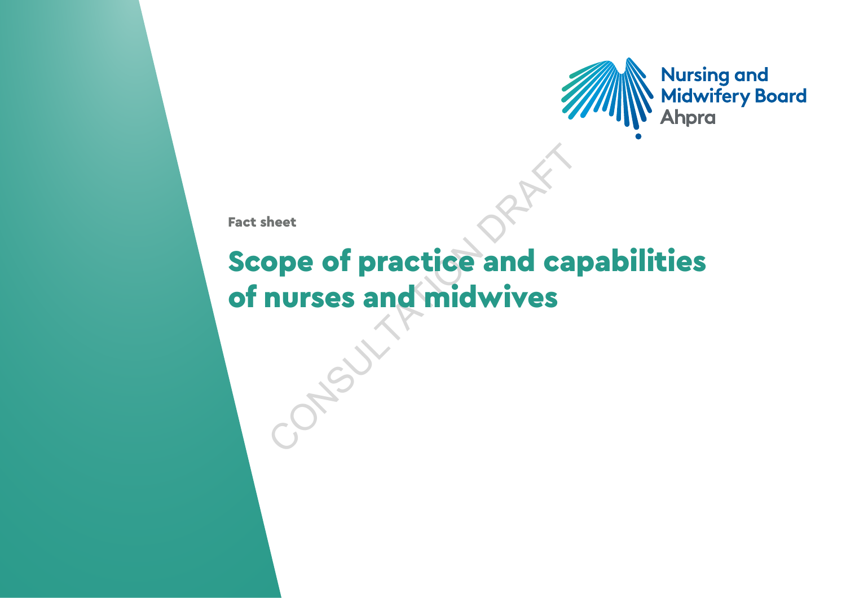

Fact sheet

# heet<br> **ope of practice and candidatives** Scope of practice and capabilities of nurses and midwives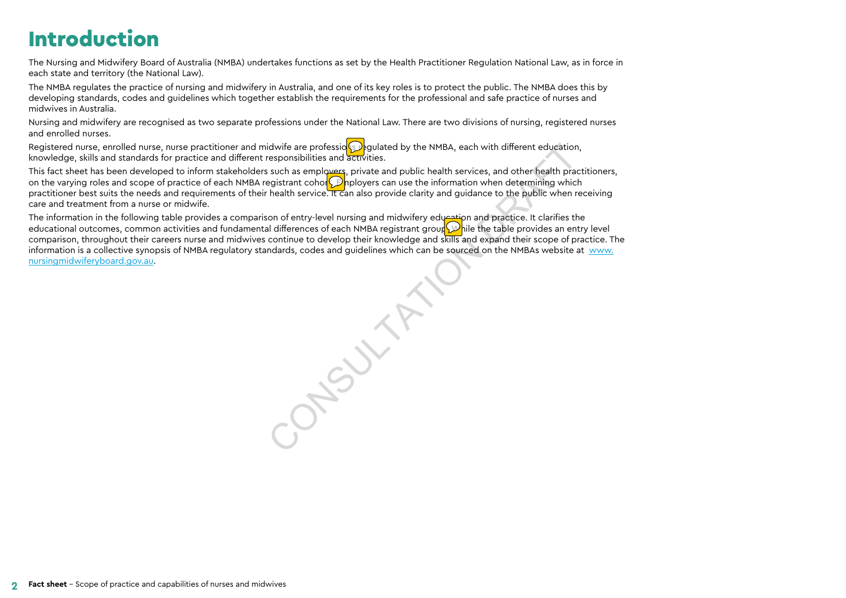# Introduction

The Nursing and Midwifery Board of Australia (NMBA) undertakes functions as set by the Health Practitioner Regulation National Law, as in force in each state and territory (the National Law).

The NMBA regulates the practice of nursing and midwifery in Australia, and one of its key roles is to protect the public. The NMBA does this by developing standards, codes and quidelines which together establish the requirements for the professional and safe practice of nurses and midwives in Australia.

Nursing and midwifery are recognised as two separate professions under the National Law. There are two divisions of nursing, registered nurses and enrolled nurses.

Registered nurse, enrolled nurse, nurse practitioner and midwife are professio**s** pulated by the NMBA, each with different education, knowledge, skills and standards for practice and different responsibilities and activities.

This fact sheet has been developed to inform stakeholders such as employers, private and public health services, and other health practitioners, on the varying roles and scope of practice of each NMBA registrant cohor $\bigcirc$  inployers can use the information when determining which practitioner best suits the needs and requirements of their health service. It can also provide clarity and guidance to the public when receiving care and treatment from a nurse or midwife.

The information in the following table provides a comparison of entry-level nursing and midwifery education and practice. It clarifies the educational outcomes, common activities and fundamental differences of each NMBA registrant group. While the table provides an entry level comparison, throughout their careers nurse and midwives continue to develop their knowledge and skills and expand their scope of practice. The information is a collective synopsis of NMBA regulatory standards, codes and guidelines which can be sourced on the NMBAs website at [www.](http://www.nursingmidwiferyboard.gov.au) [nursingmidwiferyboard.gov.au.](http://www.nursingmidwiferyboard.gov.au)

CONSULTATION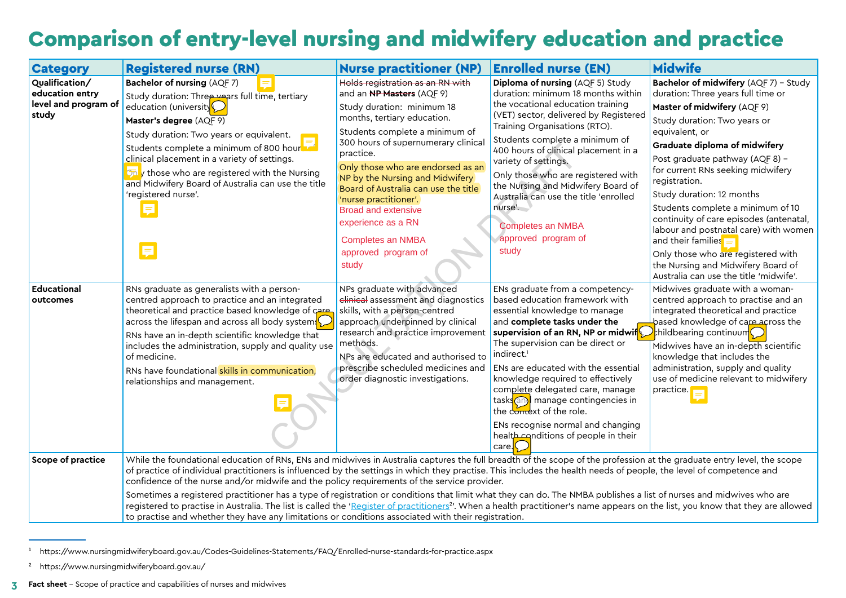# Comparison of entry-level nursing and midwifery education and practice

| <b>Category</b>                                                                                                                                                               | <b>Registered nurse (RN)</b>                                                                                                                                                                                                                                                                                                                                                                                                                                                                                                                                                                                                                                                                                                                                                                                                                                                                                              | <b>Nurse practitioner (NP)</b>                                                                                                                                                                                                                                                                                                                                                                                                                                                   | <b>Enrolled nurse (EN)</b>                                                                                                                                                                                                                                                                                                                                                                                                                                                                                                                               | <b>Midwife</b>                                                                                                                                                                                                                                                                                                                                                                                                                                                                                                                                                                           |  |  |
|-------------------------------------------------------------------------------------------------------------------------------------------------------------------------------|---------------------------------------------------------------------------------------------------------------------------------------------------------------------------------------------------------------------------------------------------------------------------------------------------------------------------------------------------------------------------------------------------------------------------------------------------------------------------------------------------------------------------------------------------------------------------------------------------------------------------------------------------------------------------------------------------------------------------------------------------------------------------------------------------------------------------------------------------------------------------------------------------------------------------|----------------------------------------------------------------------------------------------------------------------------------------------------------------------------------------------------------------------------------------------------------------------------------------------------------------------------------------------------------------------------------------------------------------------------------------------------------------------------------|----------------------------------------------------------------------------------------------------------------------------------------------------------------------------------------------------------------------------------------------------------------------------------------------------------------------------------------------------------------------------------------------------------------------------------------------------------------------------------------------------------------------------------------------------------|------------------------------------------------------------------------------------------------------------------------------------------------------------------------------------------------------------------------------------------------------------------------------------------------------------------------------------------------------------------------------------------------------------------------------------------------------------------------------------------------------------------------------------------------------------------------------------------|--|--|
| Qualification/<br>education entry<br>level and program of<br>study                                                                                                            | Bachelor of nursing (AQF 7)<br>Study duration: Three years full time, tertiary<br>education (university<br>Master's degree (AQF 9)<br>Study duration: Two years or equivalent.<br>Students complete a minimum of 800 hour<br>clinical placement in a variety of settings.<br>only those who are registered with the Nursing<br>and Midwifery Board of Australia can use the title<br>'registered nurse'.<br>Ę                                                                                                                                                                                                                                                                                                                                                                                                                                                                                                             | Holds registration as an RN with<br>and an <b>NP Masters</b> (AQF 9)<br>Study duration: minimum 18<br>months, tertiary education.<br>Students complete a minimum of<br>300 hours of supernumerary clinical<br>practice.<br>Only those who are endorsed as an<br>NP by the Nursing and Midwifery<br>Board of Australia can use the title<br>'nurse practitioner'.<br><b>Broad and extensive</b><br>experience as a RN<br><b>Completes an NMBA</b><br>approved program of<br>study | Diploma of nursing (AQF 5) Study<br>duration: minimum 18 months within<br>the vocational education training<br>(VET) sector, delivered by Registered<br>Training Organisations (RTO).<br>Students complete a minimum of<br>400 hours of clinical placement in a<br>variety of settings.<br>Only those who are registered with<br>the Nursing and Midwifery Board of<br>Australia can use the title 'enrolled<br>nurse'.<br><b>Completes an NMBA</b><br>approved program of<br>study                                                                      | Bachelor of midwifery (AQF 7) - Study<br>duration: Three years full time or<br>Master of midwifery (AQF 9)<br>Study duration: Two years or<br>equivalent, or<br>Graduate diploma of midwifery<br>Post graduate pathway (AQF 8) -<br>for current RNs seeking midwifery<br>registration.<br>Study duration: 12 months<br>Students complete a minimum of 10<br>continuity of care episodes (antenatal,<br>labour and postnatal care) with women<br>and their families<br>Only those who are registered with<br>the Nursing and Midwifery Board of<br>Australia can use the title 'midwife'. |  |  |
| <b>Educational</b><br>outcomes                                                                                                                                                | RNs graduate as generalists with a person-<br>centred approach to practice and an integrated<br>theoretical and practice based knowledge of care<br>across the lifespan and across all body system $\sqrt{\ }$<br>RNs have an in-depth scientific knowledge that<br>includes the administration, supply and quality use<br>of medicine.<br>RNs have foundational skills in communication,<br>relationships and management.                                                                                                                                                                                                                                                                                                                                                                                                                                                                                                | NPs graduate with advanced<br>elinical assessment and diagnostics<br>skills, with a person-centred<br>approach underpinned by clinical<br>research and practice improvement<br>methods.<br>NPs are educated and authorised to<br>prescribe scheduled medicines and<br>order diagnostic investigations.                                                                                                                                                                           | ENs graduate from a competency-<br>based education framework with<br>essential knowledge to manage<br>and complete tasks under the<br>supervision of an RN, NP or midwif $\bigcirc$ hildbearing continuum<br>The supervision can be direct or<br>indirect. <sup>1</sup><br>ENs are educated with the essential<br>knowledge required to effectively<br>complete delegated care, manage<br>tasks <sup>(an)</sup> manage contingencies in<br>the comext of the role.<br>ENs recognise normal and changing<br>health conditions of people in their<br>care. | Midwives graduate with a woman-<br>centred approach to practise and an<br>integrated theoretical and practice<br>based knowledge of care across the<br>Midwives have an in-depth scientific<br>knowledge that includes the<br>administration, supply and quality<br>use of medicine relevant to midwifery<br>practive.                                                                                                                                                                                                                                                                   |  |  |
| Scope of practice                                                                                                                                                             | While the foundational education of RNs, ENs and midwives in Australia captures the full breadth of the scope of the profession at the graduate entry level, the scope<br>of practice of individual practitioners is influenced by the settings in which they practise. This includes the health needs of people, the level of competence and<br>confidence of the nurse and/or midwife and the policy requirements of the service provider.<br>Sometimes a registered practitioner has a type of registration or conditions that limit what they can do. The NMBA publishes a list of nurses and midwives who are<br>registered to practise in Australia. The list is called the 'Register of practitioners <sup>2</sup> '. When a health practitioner's name appears on the list, you know that they are allowed<br>to practise and whether they have any limitations or conditions associated with their registration. |                                                                                                                                                                                                                                                                                                                                                                                                                                                                                  |                                                                                                                                                                                                                                                                                                                                                                                                                                                                                                                                                          |                                                                                                                                                                                                                                                                                                                                                                                                                                                                                                                                                                                          |  |  |
| https://www.nursingmidwiferyboard.gov.au/Codes-Guidelines-Statements/FAQ/Enrolled-nurse-standards-for-practice.aspx<br><sup>2</sup> https://www.nursingmidwiferyboard.gov.au/ |                                                                                                                                                                                                                                                                                                                                                                                                                                                                                                                                                                                                                                                                                                                                                                                                                                                                                                                           |                                                                                                                                                                                                                                                                                                                                                                                                                                                                                  |                                                                                                                                                                                                                                                                                                                                                                                                                                                                                                                                                          |                                                                                                                                                                                                                                                                                                                                                                                                                                                                                                                                                                                          |  |  |

<sup>1</sup> https://www.nursingmidwiferyboard.gov.au/Codes-Guidelines-Statements/FAQ/Enrolled-nurse-standards-for-practice.aspx

**3 Fact sheet** – Scope of practice and capabilities of nurses and midwives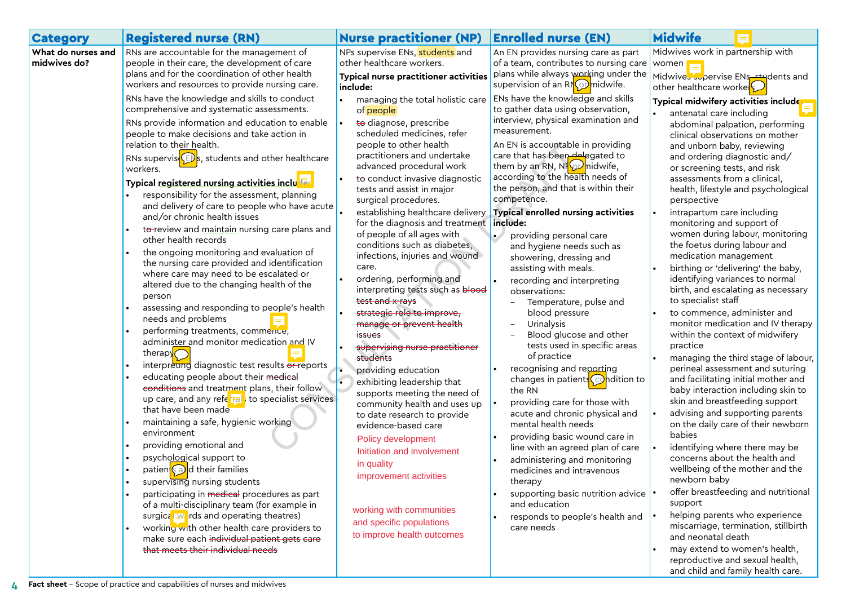| <b>Category</b>                    | <b>Registered nurse (RN)</b>                                                                                                                                                                                                                                                                                                                                                                                                                                                                                                                                                                                                                                                                                                                                                                                                                                                                                                                                                                                                                                                                                                                                                                                                                                                                                                                                                                                                                                                                                                                                                                                                                                                                                                                                                                                                        | <b>Nurse practitioner (NP)</b>                                                                                                                                                                                                                                                                                                                                                                                                                                                                                                                                                                                                                                                                                                                                                                                                                                                                                                                                                                                                                                                                                                                                           | <b>Enrolled nurse (EN)</b>                                                                                                                                                                                                                                                                                                                                                                                                                                                                                                                                                                                                                                                                                                                                                                                                                                                                                                                                                                                                                                                                                                                                                                                                                                                      | <b>Midwife</b>                                                                                                                                                                                                                                                                                                                                                                                                                                                                                                                                                                                                                                                                                                                                                                                                                                                                                                                                                                                                                                                                                                                                                                                                                                                                                                                                                                                                                                                                                                          |
|------------------------------------|-------------------------------------------------------------------------------------------------------------------------------------------------------------------------------------------------------------------------------------------------------------------------------------------------------------------------------------------------------------------------------------------------------------------------------------------------------------------------------------------------------------------------------------------------------------------------------------------------------------------------------------------------------------------------------------------------------------------------------------------------------------------------------------------------------------------------------------------------------------------------------------------------------------------------------------------------------------------------------------------------------------------------------------------------------------------------------------------------------------------------------------------------------------------------------------------------------------------------------------------------------------------------------------------------------------------------------------------------------------------------------------------------------------------------------------------------------------------------------------------------------------------------------------------------------------------------------------------------------------------------------------------------------------------------------------------------------------------------------------------------------------------------------------------------------------------------------------|--------------------------------------------------------------------------------------------------------------------------------------------------------------------------------------------------------------------------------------------------------------------------------------------------------------------------------------------------------------------------------------------------------------------------------------------------------------------------------------------------------------------------------------------------------------------------------------------------------------------------------------------------------------------------------------------------------------------------------------------------------------------------------------------------------------------------------------------------------------------------------------------------------------------------------------------------------------------------------------------------------------------------------------------------------------------------------------------------------------------------------------------------------------------------|---------------------------------------------------------------------------------------------------------------------------------------------------------------------------------------------------------------------------------------------------------------------------------------------------------------------------------------------------------------------------------------------------------------------------------------------------------------------------------------------------------------------------------------------------------------------------------------------------------------------------------------------------------------------------------------------------------------------------------------------------------------------------------------------------------------------------------------------------------------------------------------------------------------------------------------------------------------------------------------------------------------------------------------------------------------------------------------------------------------------------------------------------------------------------------------------------------------------------------------------------------------------------------|-------------------------------------------------------------------------------------------------------------------------------------------------------------------------------------------------------------------------------------------------------------------------------------------------------------------------------------------------------------------------------------------------------------------------------------------------------------------------------------------------------------------------------------------------------------------------------------------------------------------------------------------------------------------------------------------------------------------------------------------------------------------------------------------------------------------------------------------------------------------------------------------------------------------------------------------------------------------------------------------------------------------------------------------------------------------------------------------------------------------------------------------------------------------------------------------------------------------------------------------------------------------------------------------------------------------------------------------------------------------------------------------------------------------------------------------------------------------------------------------------------------------------|
| What do nurses and<br>midwives do? | RNs are accountable for the management of<br>people in their care, the development of care<br>plans and for the coordination of other health<br>workers and resources to provide nursing care.<br>RNs have the knowledge and skills to conduct<br>comprehensive and systematic assessments.<br>RNs provide information and education to enable<br>people to make decisions and take action in<br>relation to their health.<br>RNs supervis $\mathbb{C}$ s, students and other healthcare<br>workers.<br>Typical registered nursing activities inclused<br>responsibility for the assessment, planning<br>and delivery of care to people who have acute<br>and/or chronic health issues<br>to-review and maintain nursing care plans and<br>other health records<br>the ongoing monitoring and evaluation of<br>the nursing care provided and identification<br>where care may need to be escalated or<br>altered due to the changing health of the<br>person<br>assessing and responding to people's health<br>needs and problems<br>performing treatments, commence,<br>administer and monitor medication and IV<br>therapy $\bigcap$<br>interpreting diagnostic test results or reports<br>educating people about their medical<br>conditions and treatment plans, their follow<br>up care, and any referral to specialist services<br>that have been made<br>maintaining a safe, hygienic working<br>environment<br>providing emotional and<br>psychological support to<br>patien <sup>{</sup> ea> d their families<br>supervising nursing students<br>participating in medical procedures as part<br>of a multi-disciplinary team (for example in<br>surgical worlds and operating theatres)<br>working with other health care providers to<br>make sure each individual patient gets care<br>that meets their individual needs | NPs supervise ENs, students and<br>other healthcare workers.<br>Typical nurse practitioner activities<br>include:<br>managing the total holistic care<br>of people<br>to diagnose, prescribe<br>scheduled medicines, refer<br>people to other health<br>practitioners and undertake<br>advanced procedural work<br>to conduct invasive diagnostic<br>tests and assist in major<br>surgical procedures.<br>establishing healthcare delivery<br>for the diagnosis and treatment include:<br>of people of all ages with<br>conditions such as diabetes,<br>infections, injuries and wound<br>care.<br>ordering, performing and<br>interpreting tests such as blood<br>test and x-rays<br>strategic role to improve,<br>manage or prevent health<br><i>issues</i><br>supervising nurse practitioner<br>students<br>providing education<br>exhibiting leadership that<br>supports meeting the need of<br>community health and uses up<br>to date research to provide<br>evidence-based care<br>Policy development<br>Initiation and involvement<br>in quality<br>improvement activities<br>working with communities<br>and specific populations<br>to improve health outcomes | An EN provides nursing care as part<br>of a team, contributes to nursing care<br>plans while always working under the<br>supervision of an RNO midwife.<br>ENs have the knowledge and skills<br>to gather data using observation,<br>interview, physical examination and<br>measurement.<br>An EN is accountable in providing<br>care that has been delegated to<br>them by an RN, NH <sub>22</sub> midwife,<br>according to the health needs of<br>the person, and that is within their<br>competence.<br>Typical enrolled nursing activities<br>providing personal care<br>and hygiene needs such as<br>showering, dressing and<br>assisting with meals.<br>recording and interpreting<br>observations:<br>Temperature, pulse and<br>blood pressure<br>Urinalysis<br>Blood glucose and other<br>tests used in specific areas<br>of practice<br>recognising and reporting<br>changes in patients $\bigodot$ ndition to<br>the RN<br>providing care for those with<br>acute and chronic physical and<br>mental health needs<br>providing basic wound care in<br>line with an agreed plan of care<br>administering and monitoring<br>medicines and intravenous<br>therapy<br>supporting basic nutrition advice<br>and education<br>responds to people's health and<br>care needs | Midwives work in partnership with<br>women<br>Midwives supervise ENs students and<br>other healthcare worke<br>Typical midwifery activities include<br>antenatal care including<br>abdominal palpation, performing<br>clinical observations on mother<br>and unborn baby, reviewing<br>and ordering diagnostic and/<br>or screening tests, and risk<br>assessments from a clinical,<br>health, lifestyle and psychological<br>perspective<br>intrapartum care including<br>monitoring and support of<br>women during labour, monitoring<br>the foetus during labour and<br>medication management<br>birthing or 'delivering' the baby,<br>identifying variances to normal<br>birth, and escalating as necessary<br>to specialist staff<br>to commence, administer and<br>monitor medication and IV therapy<br>within the context of midwifery<br>practice<br>managing the third stage of labour,<br>perineal assessment and suturing<br>and facilitating initial mother and<br>baby interaction including skin to<br>skin and breastfeeding support<br>advising and supporting parents<br>on the daily care of their newborn<br>babies<br>identifying where there may be<br>concerns about the health and<br>wellbeing of the mother and the<br>newborn baby<br>offer breastfeeding and nutritional<br>support<br>helping parents who experience<br>miscarriage, termination, stillbirth<br>and neonatal death<br>may extend to women's health,<br>reproductive and sexual health,<br>and child and family health care. |